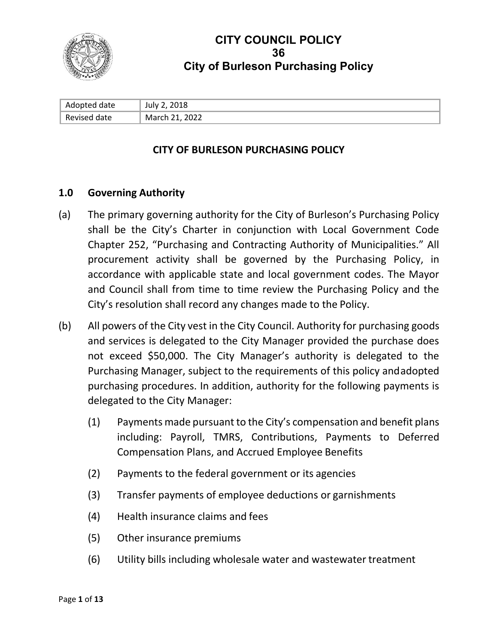

# **CITY COUNCIL POLICY 36 City of Burleson Purchasing Policy**

| Adopted date | July 2, 2018   |
|--------------|----------------|
| Revised date | March 21, 2022 |

#### **CITY OF BURLESON PURCHASING POLICY**

#### **1.0 Governing Authority**

- (a) The primary governing authority for the City of Burleson's Purchasing Policy shall be the City's Charter in conjunction with Local Government Code Chapter 252, "Purchasing and Contracting Authority of Municipalities." All procurement activity shall be governed by the Purchasing Policy, in accordance with applicable state and local government codes. The Mayor and Council shall from time to time review the Purchasing Policy and the City's resolution shall record any changes made to the Policy.
- (b) All powers of the City vest in the City Council. Authority for purchasing goods and services is delegated to the City Manager provided the purchase does not exceed \$50,000. The City Manager's authority is delegated to the Purchasing Manager, subject to the requirements of this policy andadopted purchasing procedures. In addition, authority for the following payments is delegated to the City Manager:
	- (1) Payments made pursuant to the City's compensation and benefit plans including: Payroll, TMRS, Contributions, Payments to Deferred Compensation Plans, and Accrued Employee Benefits
	- (2) Payments to the federal government or its agencies
	- (3) Transfer payments of employee deductions or garnishments
	- (4) Health insurance claims and fees
	- (5) Other insurance premiums
	- (6) Utility bills including wholesale water and wastewater treatment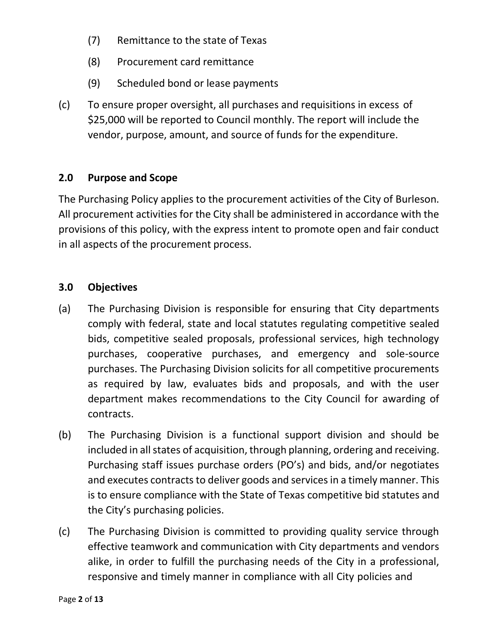- (7) Remittance to the state of Texas
- (8) Procurement card remittance
- (9) Scheduled bond or lease payments
- (c) To ensure proper oversight, all purchases and requisitions in excess of \$25,000 will be reported to Council monthly. The report will include the vendor, purpose, amount, and source of funds for the expenditure.

## **2.0 Purpose and Scope**

The Purchasing Policy applies to the procurement activities of the City of Burleson. All procurement activities for the City shall be administered in accordance with the provisions of this policy, with the express intent to promote open and fair conduct in all aspects of the procurement process.

#### **3.0 Objectives**

- (a) The Purchasing Division is responsible for ensuring that City departments comply with federal, state and local statutes regulating competitive sealed bids, competitive sealed proposals, professional services, high technology purchases, cooperative purchases, and emergency and sole-source purchases. The Purchasing Division solicits for all competitive procurements as required by law, evaluates bids and proposals, and with the user department makes recommendations to the City Council for awarding of contracts.
- (b) The Purchasing Division is a functional support division and should be included in all states of acquisition, through planning, ordering and receiving. Purchasing staff issues purchase orders (PO's) and bids, and/or negotiates and executes contracts to deliver goods and services in a timely manner. This is to ensure compliance with the State of Texas competitive bid statutes and the City's purchasing policies.
- (c) The Purchasing Division is committed to providing quality service through effective teamwork and communication with City departments and vendors alike, in order to fulfill the purchasing needs of the City in a professional, responsive and timely manner in compliance with all City policies and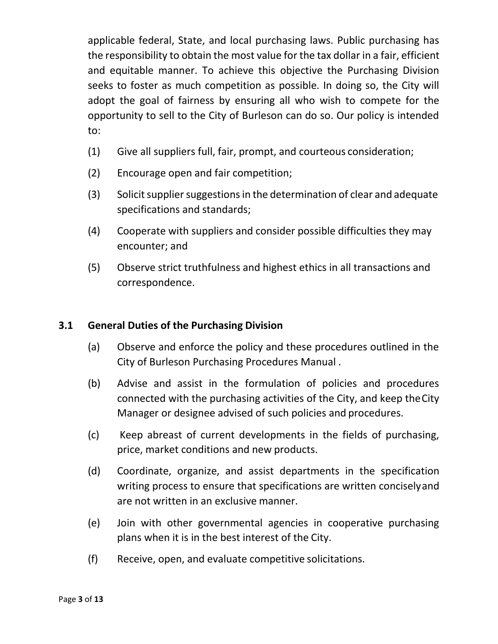applicable federal, State, and local purchasing laws. Public purchasing has the responsibility to obtain the most value for the tax dollar in a fair, efficient and equitable manner. To achieve this objective the Purchasing Division seeks to foster as much competition as possible. In doing so, the City will adopt the goal of fairness by ensuring all who wish to compete for the opportunity to sell to the City of Burleson can do so. Our policy is intended to:

- (1) Give all suppliers full, fair, prompt, and courteous consideration;
- (2) Encourage open and fair competition;
- (3) Solicit supplier suggestions in the determination of clear and adequate specifications and standards;
- (4) Cooperate with suppliers and consider possible difficulties they may encounter; and
- (5) Observe strict truthfulness and highest ethics in all transactions and correspondence.

## **3.1 General Duties of the Purchasing Division**

- (a) Observe and enforce the policy and these procedures outlined in the City of Burleson Purchasing Procedures Manual .
- (b) Advise and assist in the formulation of policies and procedures connected with the purchasing activities of the City, and keep theCity Manager or designee advised of such policies and procedures.
- (c) Keep abreast of current developments in the fields of purchasing, price, market conditions and new products.
- (d) Coordinate, organize, and assist departments in the specification writing process to ensure that specifications are written conciselyand are not written in an exclusive manner.
- (e) Join with other governmental agencies in cooperative purchasing plans when it is in the best interest of the City.
- (f) Receive, open, and evaluate competitive solicitations.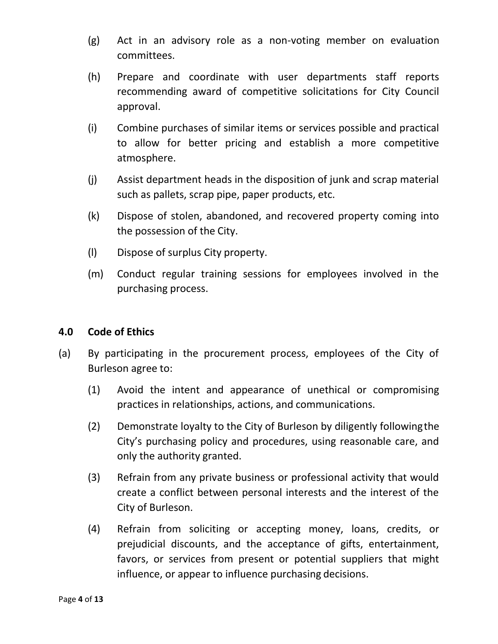- (g) Act in an advisory role as a non-voting member on evaluation committees.
- (h) Prepare and coordinate with user departments staff reports recommending award of competitive solicitations for City Council approval.
- (i) Combine purchases of similar items or services possible and practical to allow for better pricing and establish a more competitive atmosphere.
- (j) Assist department heads in the disposition of junk and scrap material such as pallets, scrap pipe, paper products, etc.
- (k) Dispose of stolen, abandoned, and recovered property coming into the possession of the City.
- (l) Dispose of surplus City property.
- (m) Conduct regular training sessions for employees involved in the purchasing process.

## **4.0 Code of Ethics**

- (a) By participating in the procurement process, employees of the City of Burleson agree to:
	- (1) Avoid the intent and appearance of unethical or compromising practices in relationships, actions, and communications.
	- (2) Demonstrate loyalty to the City of Burleson by diligently followingthe City's purchasing policy and procedures, using reasonable care, and only the authority granted.
	- (3) Refrain from any private business or professional activity that would create a conflict between personal interests and the interest of the City of Burleson.
	- (4) Refrain from soliciting or accepting money, loans, credits, or prejudicial discounts, and the acceptance of gifts, entertainment, favors, or services from present or potential suppliers that might influence, or appear to influence purchasing decisions.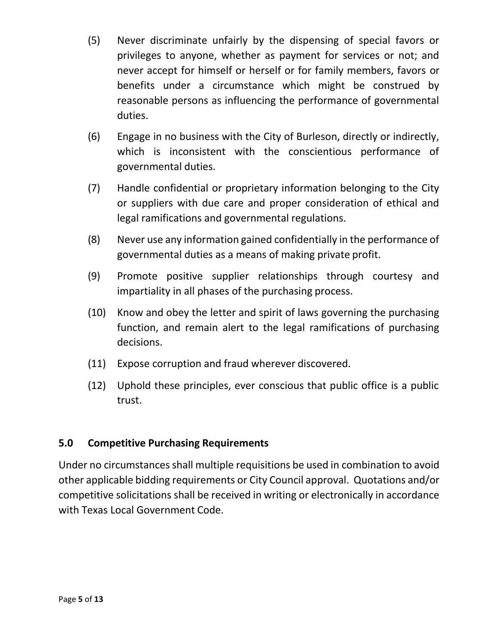- (5) Never discriminate unfairly by the dispensing of special favors or privileges to anyone, whether as payment for services or not; and never accept for himself or herself or for family members, favors or benefits under a circumstance which might be construed by reasonable persons as influencing the performance of governmental duties.
- (6) Engage in no business with the City of Burleson, directly or indirectly, which is inconsistent with the conscientious performance of governmental duties.
- (7) Handle confidential or proprietary information belonging to the City or suppliers with due care and proper consideration of ethical and legal ramifications and governmental regulations.
- (8) Never use any information gained confidentially in the performance of governmental duties as a means of making private profit.
- (9) Promote positive supplier relationships through courtesy and impartiality in all phases of the purchasing process.
- (10) Know and obey the letter and spirit of laws governing the purchasing function, and remain alert to the legal ramifications of purchasing decisions.
- (11) Expose corruption and fraud wherever discovered.
- (12) Uphold these principles, ever conscious that public office is a public trust.

## **5.0 Competitive Purchasing Requirements**

Under no circumstances shall multiple requisitions be used in combination to avoid other applicable bidding requirements or City Council approval. Quotations and/or competitive solicitations shall be received in writing or electronically in accordance with Texas Local Government Code.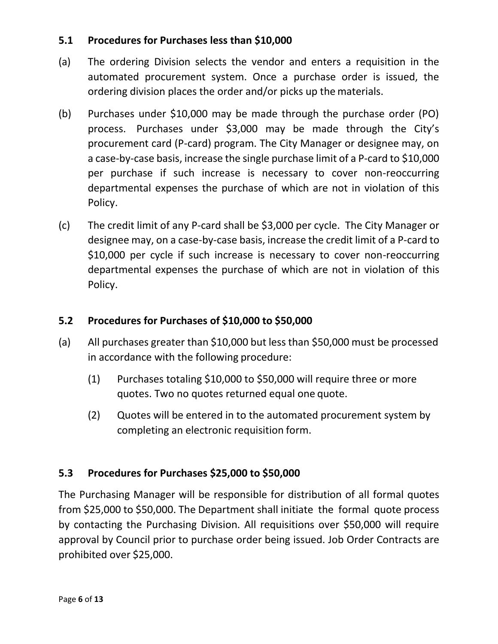## **5.1 Procedures for Purchases less than \$10,000**

- (a) The ordering Division selects the vendor and enters a requisition in the automated procurement system. Once a purchase order is issued, the ordering division places the order and/or picks up the materials.
- (b) Purchases under \$10,000 may be made through the purchase order (PO) process. Purchases under \$3,000 may be made through the City's procurement card (P-card) program. The City Manager or designee may, on a case-by-case basis, increase the single purchase limit of a P-card to \$10,000 per purchase if such increase is necessary to cover non-reoccurring departmental expenses the purchase of which are not in violation of this Policy.
- (c) The credit limit of any P-card shall be \$3,000 per cycle. The City Manager or designee may, on a case-by-case basis, increase the credit limit of a P-card to \$10,000 per cycle if such increase is necessary to cover non-reoccurring departmental expenses the purchase of which are not in violation of this Policy.

# **5.2 Procedures for Purchases of \$10,000 to \$50,000**

- (a) All purchases greater than \$10,000 but less than \$50,000 must be processed in accordance with the following procedure:
	- (1) Purchases totaling \$10,000 to \$50,000 will require three or more quotes. Two no quotes returned equal one quote.
	- (2) Quotes will be entered in to the automated procurement system by completing an electronic requisition form.

## **5.3 Procedures for Purchases \$25,000 to \$50,000**

The Purchasing Manager will be responsible for distribution of all formal quotes from \$25,000 to \$50,000. The Department shall initiate the formal quote process by contacting the Purchasing Division. All requisitions over \$50,000 will require approval by Council prior to purchase order being issued. Job Order Contracts are prohibited over \$25,000.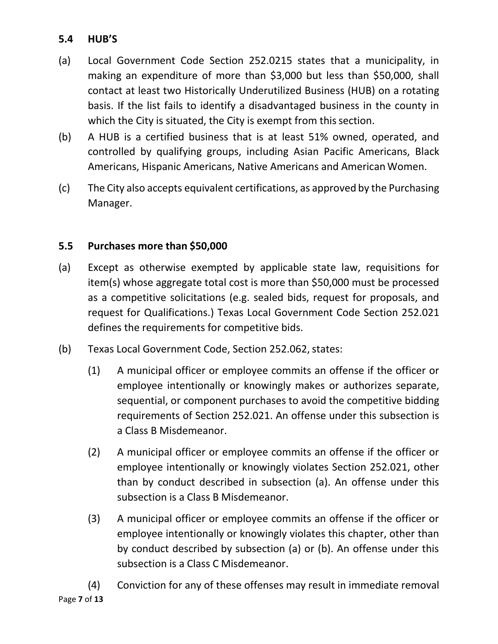# **5.4 HUB'S**

- (a) Local Government Code Section 252.0215 states that a municipality, in making an expenditure of more than \$3,000 but less than \$50,000, shall contact at least two Historically Underutilized Business (HUB) on a rotating basis. If the list fails to identify a disadvantaged business in the county in which the City is situated, the City is exempt from this section.
- (b) A HUB is a certified business that is at least 51% owned, operated, and controlled by qualifying groups, including Asian Pacific Americans, Black Americans, Hispanic Americans, Native Americans and American Women.
- (c) The City also accepts equivalent certifications, as approved by the Purchasing Manager.

## **5.5 Purchases more than \$50,000**

- (a) Except as otherwise exempted by applicable state law, requisitions for item(s) whose aggregate total cost is more than \$50,000 must be processed as a competitive solicitations (e.g. sealed bids, request for proposals, and request for Qualifications.) Texas Local Government Code Section 252.021 defines the requirements for competitive bids.
- (b) Texas Local Government Code, Section 252.062, states:
	- (1) A municipal officer or employee commits an offense if the officer or employee intentionally or knowingly makes or authorizes separate, sequential, or component purchases to avoid the competitive bidding requirements of Section 252.021. An offense under this subsection is a Class B Misdemeanor.
	- (2) A municipal officer or employee commits an offense if the officer or employee intentionally or knowingly violates Section 252.021, other than by conduct described in subsection (a). An offense under this subsection is a Class B Misdemeanor.
	- (3) A municipal officer or employee commits an offense if the officer or employee intentionally or knowingly violates this chapter, other than by conduct described by subsection (a) or (b). An offense under this subsection is a Class C Misdemeanor.
- Page **7** of **13** (4) Conviction for any of these offenses may result in immediate removal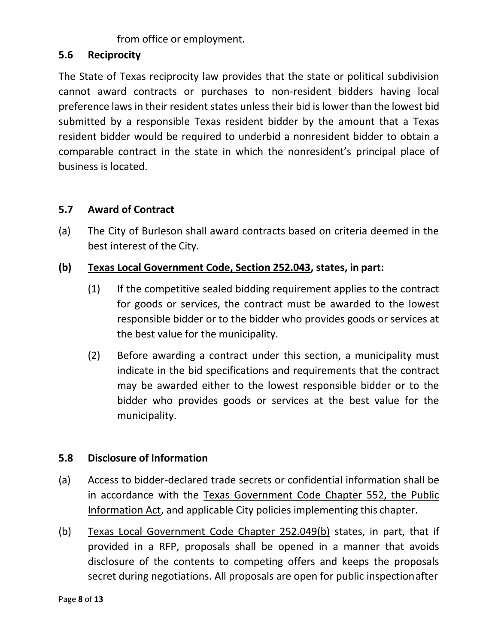# from office or employment.

#### **5.6 Reciprocity**

The State of Texas reciprocity law provides that the state or political subdivision cannot award contracts or purchases to non-resident bidders having local preference laws in their resident states unless their bid is lower than the lowest bid submitted by a responsible Texas resident bidder by the amount that a Texas resident bidder would be required to underbid a nonresident bidder to obtain a comparable contract in the state in which the nonresident's principal place of business is located.

## **5.7 Award of Contract**

(a) The City of Burleson shall award contracts based on criteria deemed in the best interest of the City.

## **(b) Texas Local Government Code, Section 252.043, states, in part:**

- (1) If the competitive sealed bidding requirement applies to the contract for goods or services, the contract must be awarded to the lowest responsible bidder or to the bidder who provides goods or services at the best value for the municipality.
- (2) Before awarding a contract under this section, a municipality must indicate in the bid specifications and requirements that the contract may be awarded either to the lowest responsible bidder or to the bidder who provides goods or services at the best value for the municipality.

## **5.8 Disclosure of Information**

- (a) Access to bidder-declared trade secrets or confidential information shall be in accordance with the Texas Government Code Chapter 552, the Public Information Act, and applicable City policies implementing this chapter.
- (b) Texas Local Government Code Chapter 252.049(b) states, in part, that if provided in a RFP, proposals shall be opened in a manner that avoids disclosure of the contents to competing offers and keeps the proposals secret during negotiations. All proposals are open for public inspectionafter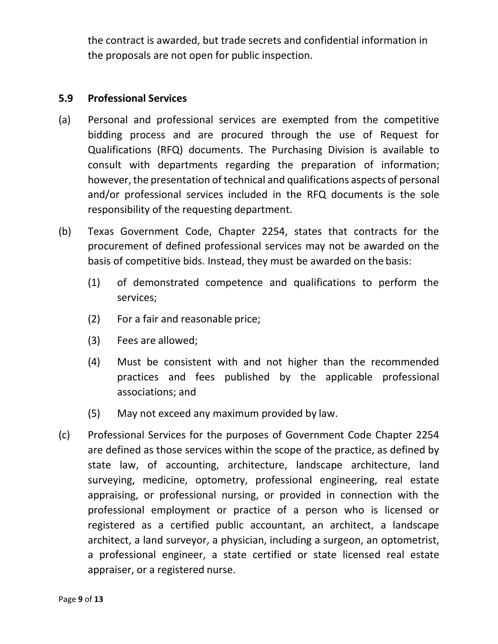the contract is awarded, but trade secrets and confidential information in the proposals are not open for public inspection.

#### **5.9 Professional Services**

- (a) Personal and professional services are exempted from the competitive bidding process and are procured through the use of Request for Qualifications (RFQ) documents. The Purchasing Division is available to consult with departments regarding the preparation of information; however, the presentation of technical and qualifications aspects of personal and/or professional services included in the RFQ documents is the sole responsibility of the requesting department.
- (b) Texas Government Code, Chapter 2254, states that contracts for the procurement of defined professional services may not be awarded on the basis of competitive bids. Instead, they must be awarded on the basis:
	- (1) of demonstrated competence and qualifications to perform the services;
	- (2) For a fair and reasonable price;
	- (3) Fees are allowed;
	- (4) Must be consistent with and not higher than the recommended practices and fees published by the applicable professional associations; and
	- (5) May not exceed any maximum provided by law.
- (c) Professional Services for the purposes of Government Code Chapter 2254 are defined as those services within the scope of the practice, as defined by state law, of accounting, architecture, landscape architecture, land surveying, medicine, optometry, professional engineering, real estate appraising, or professional nursing, or provided in connection with the professional employment or practice of a person who is licensed or registered as a certified public accountant, an architect, a landscape architect, a land surveyor, a physician, including a surgeon, an optometrist, a professional engineer, a state certified or state licensed real estate appraiser, or a registered nurse.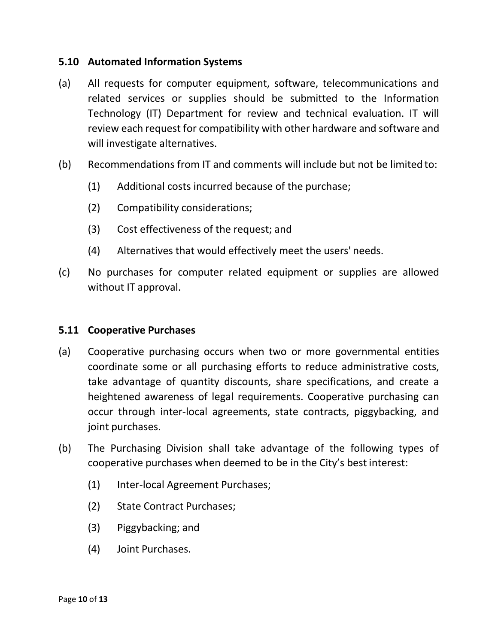#### **5.10 Automated Information Systems**

- (a) All requests for computer equipment, software, telecommunications and related services or supplies should be submitted to the Information Technology (IT) Department for review and technical evaluation. IT will review each request for compatibility with other hardware and software and will investigate alternatives.
- (b) Recommendations from IT and comments will include but not be limited to:
	- (1) Additional costs incurred because of the purchase;
	- (2) Compatibility considerations;
	- (3) Cost effectiveness of the request; and
	- (4) Alternatives that would effectively meet the users' needs.
- (c) No purchases for computer related equipment or supplies are allowed without IT approval.

#### **5.11 Cooperative Purchases**

- (a) Cooperative purchasing occurs when two or more governmental entities coordinate some or all purchasing efforts to reduce administrative costs, take advantage of quantity discounts, share specifications, and create a heightened awareness of legal requirements. Cooperative purchasing can occur through inter-local agreements, state contracts, piggybacking, and joint purchases.
- (b) The Purchasing Division shall take advantage of the following types of cooperative purchases when deemed to be in the City's best interest:
	- (1) Inter-local Agreement Purchases;
	- (2) State Contract Purchases;
	- (3) Piggybacking; and
	- (4) Joint Purchases.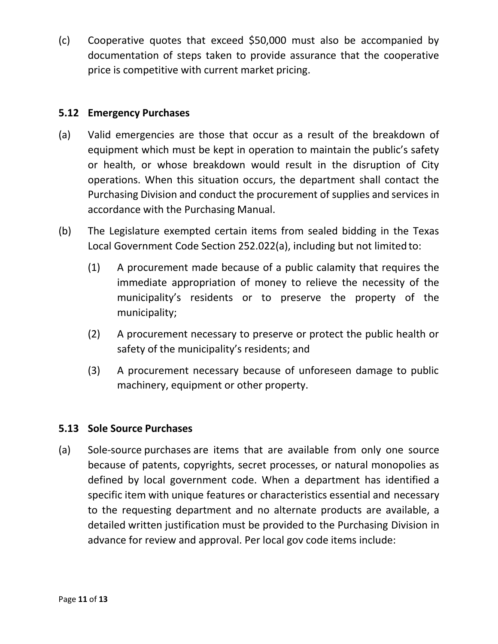(c) Cooperative quotes that exceed \$50,000 must also be accompanied by documentation of steps taken to provide assurance that the cooperative price is competitive with current market pricing.

## **5.12 Emergency Purchases**

- (a) Valid emergencies are those that occur as a result of the breakdown of equipment which must be kept in operation to maintain the public's safety or health, or whose breakdown would result in the disruption of City operations. When this situation occurs, the department shall contact the Purchasing Division and conduct the procurement of supplies and services in accordance with the Purchasing Manual.
- (b) The Legislature exempted certain items from sealed bidding in the Texas Local Government Code Section 252.022(a), including but not limited to:
	- (1) A procurement made because of a public calamity that requires the immediate appropriation of money to relieve the necessity of the municipality's residents or to preserve the property of the municipality;
	- (2) A procurement necessary to preserve or protect the public health or safety of the municipality's residents; and
	- (3) A procurement necessary because of unforeseen damage to public machinery, equipment or other property.

## **5.13 Sole Source Purchases**

(a) Sole-source purchases are items that are available from only one source because of patents, copyrights, secret processes, or natural monopolies as defined by local government code. When a department has identified a specific item with unique features or characteristics essential and necessary to the requesting department and no alternate products are available, a detailed written justification must be provided to the Purchasing Division in advance for review and approval. Per local gov code items include: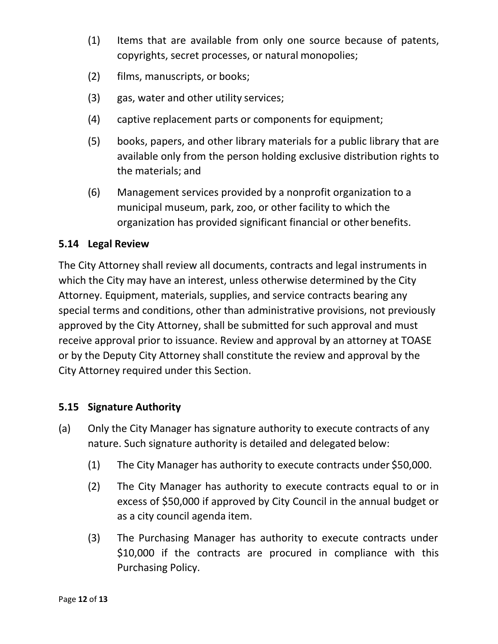- (1) Items that are available from only one source because of patents, copyrights, secret processes, or natural monopolies;
- (2) films, manuscripts, or books;
- (3) gas, water and other utility services;
- (4) captive replacement parts or components for equipment;
- (5) books, papers, and other library materials for a public library that are available only from the person holding exclusive distribution rights to the materials; and
- (6) Management services provided by a nonprofit organization to a municipal museum, park, zoo, or other facility to which the organization has provided significant financial or otherbenefits.

## **5.14 Legal Review**

The City Attorney shall review all documents, contracts and legal instruments in which the City may have an interest, unless otherwise determined by the City Attorney. Equipment, materials, supplies, and service contracts bearing any special terms and conditions, other than administrative provisions, not previously approved by the City Attorney, shall be submitted for such approval and must receive approval prior to issuance. Review and approval by an attorney at TOASE or by the Deputy City Attorney shall constitute the review and approval by the City Attorney required under this Section.

## **5.15 Signature Authority**

- (a) Only the City Manager has signature authority to execute contracts of any nature. Such signature authority is detailed and delegated below:
	- (1) The City Manager has authority to execute contracts under \$50,000.
	- (2) The City Manager has authority to execute contracts equal to or in excess of \$50,000 if approved by City Council in the annual budget or as a city council agenda item.
	- (3) The Purchasing Manager has authority to execute contracts under \$10,000 if the contracts are procured in compliance with this Purchasing Policy.